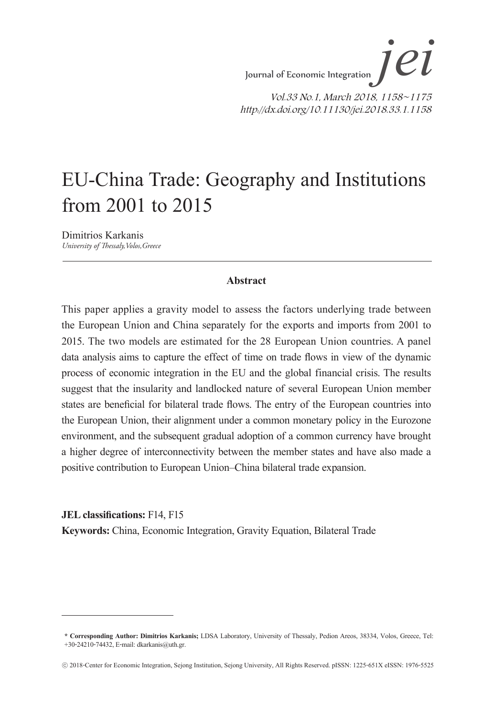# EU-China Trade: Geography and Institutions from 2001 to 2015

Dimitrios Karkanis *University of Thessaly,Volos,Greece*

#### **Abstract**

This paper applies a gravity model to assess the factors underlying trade between the European Union and China separately for the exports and imports from 2001 to 2015. The two models are estimated for the 28 European Union countries. A panel data analysis aims to capture the effect of time on trade flows in view of the dynamic process of economic integration in the EU and the global financial crisis. The results suggest that the insularity and landlocked nature of several European Union member states are beneficial for bilateral trade flows. The entry of the European countries into the European Union, their alignment under a common monetary policy in the Eurozone environment, and the subsequent gradual adoption of a common currency have brought a higher degree of interconnectivity between the member states and have also made a positive contribution to European Union–China bilateral trade expansion.

**JEL classifications:** F14, F15 **Keywords:** China, Economic Integration, Gravity Equation, Bilateral Trade

**<sup>\*</sup> Corresponding Author: Dimitrios Karkanis;** LDSA Laboratory, University of Thessaly, Pedion Areos, 38334, Volos, Greece, Tel: +30-24210-74432, E-mail: dkarkanis@uth.gr.

<sup>ⓒ</sup> 2018-Center for Economic Integration, Sejong Institution, Sejong University, All Rights Reserved. pISSN: 1225-651X eISSN: 1976-5525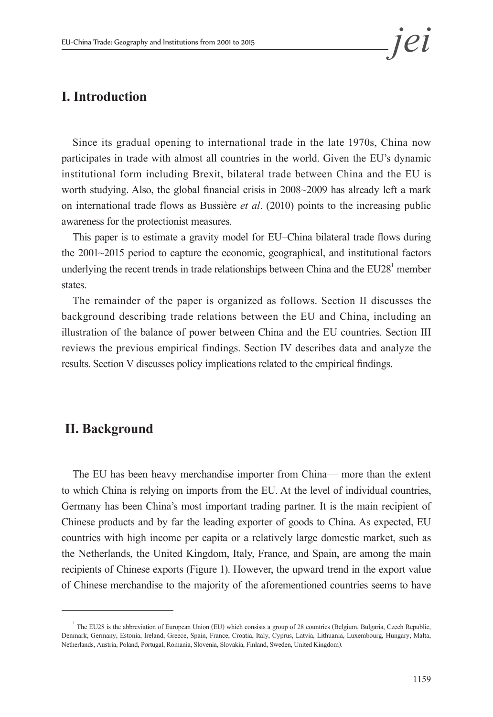# **I. Introduction**

Since its gradual opening to international trade in the late 1970s, China now participates in trade with almost all countries in the world. Given the EU's dynamic institutional form including Brexit, bilateral trade between China and the EU is worth studying. Also, the global financial crisis in 2008~2009 has already left a mark on international trade flows as Bussière *et al*. (2010) points to the increasing public awareness for the protectionist measures.

This paper is to estimate a gravity model for EU–China bilateral trade flows during the 2001~2015 period to capture the economic, geographical, and institutional factors underlying the recent trends in trade relationships between China and the  $EU28<sup>1</sup>$  member states.

The remainder of the paper is organized as follows. Section II discusses the background describing trade relations between the EU and China, including an illustration of the balance of power between China and the EU countries. Section III reviews the previous empirical findings. Section IV describes data and analyze the results. Section V discusses policy implications related to the empirical findings.

### **II. Background**

The EU has been heavy merchandise importer from China— more than the extent to which China is relying on imports from the EU. At the level of individual countries, Germany has been China's most important trading partner. It is the main recipient of Chinese products and by far the leading exporter of goods to China. As expected, EU countries with high income per capita or a relatively large domestic market, such as the Netherlands, the United Kingdom, Italy, France, and Spain, are among the main recipients of Chinese exports (Figure 1). However, the upward trend in the export value of Chinese merchandise to the majority of the aforementioned countries seems to have

<sup>&</sup>lt;sup>1</sup> The EU28 is the abbreviation of European Union (EU) which consists a group of 28 countries (Belgium, Bulgaria, Czech Republic, Denmark, Germany, Estonia, Ireland, Greece, Spain, France, Croatia, Italy, Cyprus, Latvia, Lithuania, Luxembourg, Hungary, Malta, Netherlands, Austria, Poland, Portugal, Romania, Slovenia, Slovakia, Finland, Sweden, United Kingdom).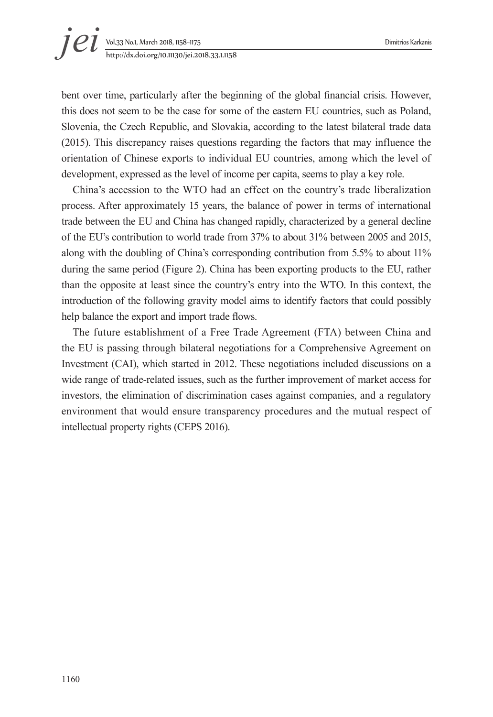bent over time, particularly after the beginning of the global financial crisis. However, this does not seem to be the case for some of the eastern EU countries, such as Poland, Slovenia, the Czech Republic, and Slovakia, according to the latest bilateral trade data (2015). This discrepancy raises questions regarding the factors that may influence the orientation of Chinese exports to individual EU countries, among which the level of development, expressed as the level of income per capita, seems to play a key role.

China's accession to the WTO had an effect on the country's trade liberalization process. After approximately 15 years, the balance of power in terms of international trade between the EU and China has changed rapidly, characterized by a general decline of the EU's contribution to world trade from 37% to about 31% between 2005 and 2015, along with the doubling of China's corresponding contribution from 5.5% to about 11% during the same period (Figure 2). China has been exporting products to the EU, rather than the opposite at least since the country's entry into the WTO. In this context, the introduction of the following gravity model aims to identify factors that could possibly help balance the export and import trade flows.

The future establishment of a Free Trade Agreement (FTA) between China and the EU is passing through bilateral negotiations for a Comprehensive Agreement on Investment (CAI), which started in 2012. These negotiations included discussions on a wide range of trade-related issues, such as the further improvement of market access for investors, the elimination of discrimination cases against companies, and a regulatory environment that would ensure transparency procedures and the mutual respect of intellectual property rights (CEPS 2016).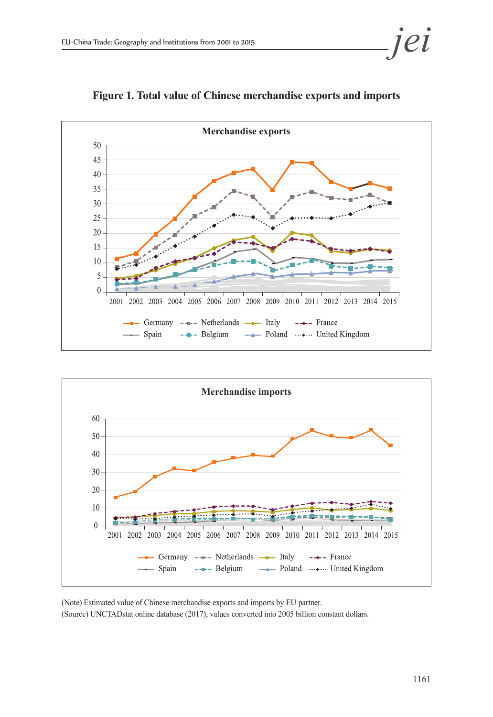

**Figure 1. Total value of Chinese merchandise exports and imports** 



(Note) Estimated value of Chinese merchandise exports and imports by EU partner. (Source) UNCTADstat online database (2017), values converted into 2005 billion constant dollars.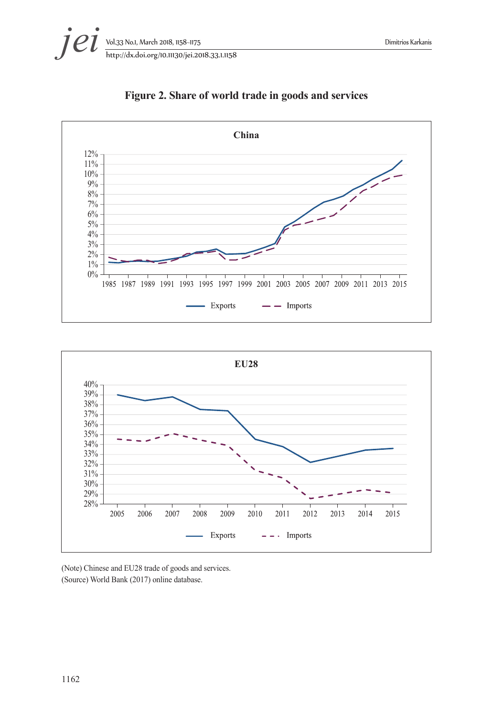



**Figure 2. Share of world trade in goods and services**



(Note) Chinese and EU28 trade of goods and services. (Source) World Bank (2017) online database.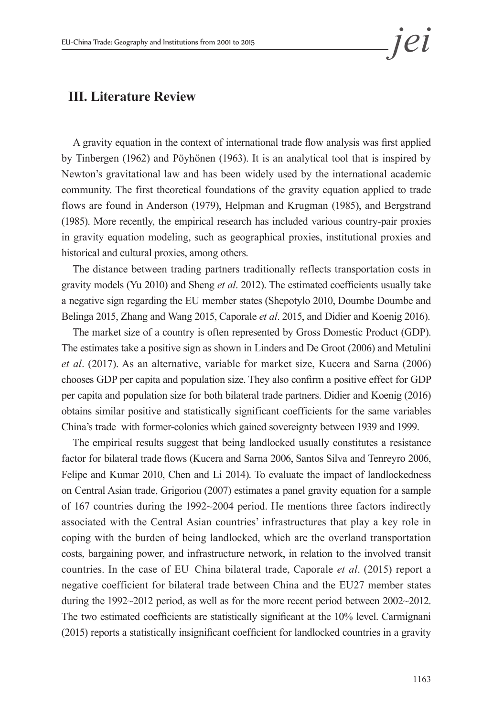## **III. Literature Review**

A gravity equation in the context of international trade flow analysis was first applied by Tinbergen (1962) and Pöyhönen (1963). It is an analytical tool that is inspired by Newton's gravitational law and has been widely used by the international academic community. The first theoretical foundations of the gravity equation applied to trade flows are found in Anderson (1979), Helpman and Krugman (1985), and Bergstrand (1985). More recently, the empirical research has included various country-pair proxies in gravity equation modeling, such as geographical proxies, institutional proxies and historical and cultural proxies, among others.

The distance between trading partners traditionally reflects transportation costs in gravity models (Yu 2010) and Sheng *et al*. 2012). The estimated coefficients usually take a negative sign regarding the EU member states (Shepotylo 2010, Doumbe Doumbe and Belinga 2015, Zhang and Wang 2015, Caporale *et al*. 2015, and Didier and Koenig 2016).

The market size of a country is often represented by Gross Domestic Product (GDP). The estimates take a positive sign as shown in Linders and De Groot (2006) and Metulini *et al*. (2017). As an alternative, variable for market size, Kucera and Sarna (2006) chooses GDP per capita and population size. They also confirm a positive effect for GDP per capita and population size for both bilateral trade partners. Didier and Koenig (2016) obtains similar positive and statistically significant coefficients for the same variables China's trade with former-colonies which gained sovereignty between 1939 and 1999.

The empirical results suggest that being landlocked usually constitutes a resistance factor for bilateral trade flows (Kucera and Sarna 2006, Santos Silva and Tenreyro 2006, Felipe and Kumar 2010, Chen and Li 2014). To evaluate the impact of landlockedness on Central Asian trade, Grigoriou (2007) estimates a panel gravity equation for a sample of 167 countries during the 1992~2004 period. He mentions three factors indirectly associated with the Central Asian countries' infrastructures that play a key role in coping with the burden of being landlocked, which are the overland transportation costs, bargaining power, and infrastructure network, in relation to the involved transit countries. In the case of EU–China bilateral trade, Caporale *et al*. (2015) report a negative coefficient for bilateral trade between China and the EU27 member states during the 1992~2012 period, as well as for the more recent period between 2002~2012. The two estimated coefficients are statistically significant at the 10% level. Carmignani (2015) reports a statistically insignificant coefficient for landlocked countries in a gravity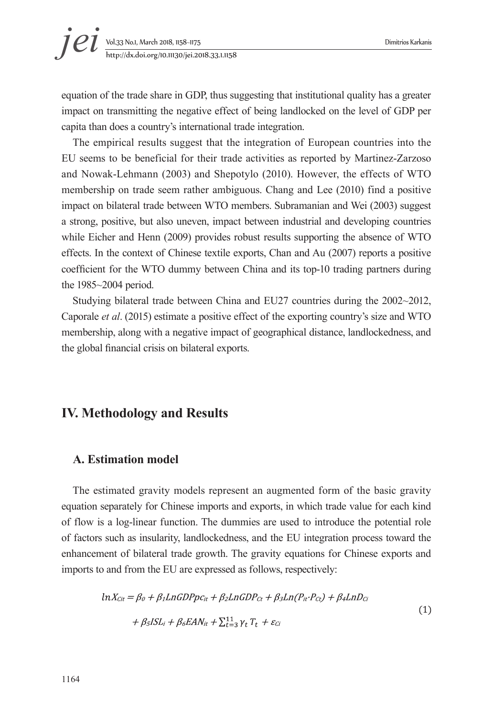equation of the trade share in GDP, thus suggesting that institutional quality has a greater impact on transmitting the negative effect of being landlocked on the level of GDP per capita than does a country's international trade integration.

The empirical results suggest that the integration of European countries into the EU seems to be beneficial for their trade activities as reported by Martinez-Zarzoso and Nowak-Lehmann (2003) and Shepotylo (2010). However, the effects of WTO membership on trade seem rather ambiguous. Chang and Lee (2010) find a positive impact on bilateral trade between WTO members. Subramanian and Wei (2003) suggest a strong, positive, but also uneven, impact between industrial and developing countries while Eicher and Henn (2009) provides robust results supporting the absence of WTO effects. In the context of Chinese textile exports, Chan and Au (2007) reports a positive coefficient for the WTO dummy between China and its top-10 trading partners during the 1985~2004 period.

Studying bilateral trade between China and EU27 countries during the 2002~2012, Caporale *et al*. (2015) estimate a positive effect of the exporting country's size and WTO membership, along with a negative impact of geographical distance, landlockedness, and the global financial crisis on bilateral exports.

# **IV. Methodology and Results**

#### **A. Estimation model**

The estimated gravity models represent an augmented form of the basic gravity equation separately for Chinese imports and exports, in which trade value for each kind of flow is a log-linear function. The dummies are used to introduce the potential role of factors such as insularity, landlockedness, and the EU integration process toward the enhancement of bilateral trade growth. The gravity equations for Chinese exports and imports to and from the EU are expressed as follows, respectively:

$$
ln X_{Cit} = \beta_0 + \beta_1 LnGDPpc_{it} + \beta_2 LnGDP_{Ct} + \beta_3 Ln(P_{it} \cdot P_{Ct}) + \beta_4 LnD_{Ci}
$$
  
+ 
$$
\beta_5 ISL_i + \beta_6 EAN_{it} + \sum_{t=3}^{11} \gamma_t T_t + \varepsilon_{Ci}
$$
 (1)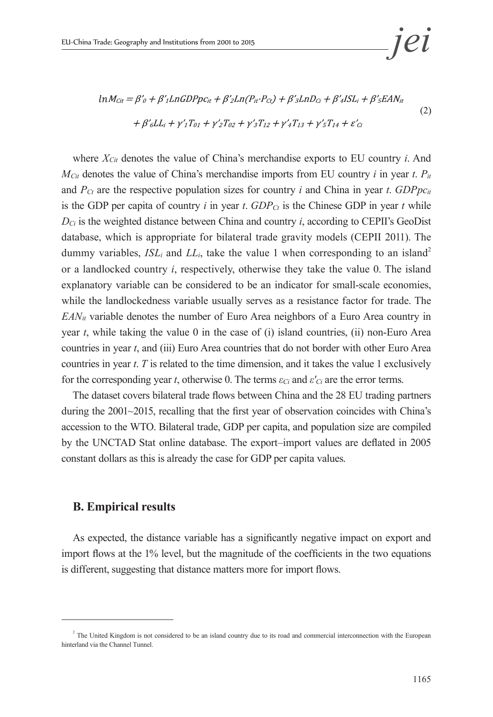$$
ln M_{Cit} = \beta'_{0} + \beta'_{1}LnGDPpc_{it} + \beta'_{2}Ln(P_{it} \cdot P_{Ct}) + \beta'_{3}LnD_{Ci} + \beta'_{4}ISL_{i} + \beta'_{5}EAN_{it}
$$
  
+  $\beta'_{6}LL_{i} + \gamma'_{1}T_{01} + \gamma'_{2}T_{02} + \gamma'_{3}T_{12} + \gamma'_{4}T_{13} + \gamma'_{5}T_{14} + \varepsilon'_{Ci}$  (2)

where *XCit* denotes the value of China's merchandise exports to EU country *i*. And  $M_{\text{C}it}$  denotes the value of China's merchandise imports from EU country *i* in year *t*.  $P_{it}$ and  $P_{C_t}$  are the respective population sizes for country *i* and China in year *t*. *GDPpc<sub>it</sub>* is the GDP per capita of country *i* in year *t*.  $GDP_{C_t}$  is the Chinese GDP in year *t* while  $D_{C_i}$  is the weighted distance between China and country *i*, according to CEPII's GeoDist database, which is appropriate for bilateral trade gravity models (CEPII 2011). The dummy variables,  $ISL_i$  and  $LL_i$ , take the value 1 when corresponding to an island<sup>2</sup> or a landlocked country *i*, respectively, otherwise they take the value 0. The island explanatory variable can be considered to be an indicator for small-scale economies, while the landlockedness variable usually serves as a resistance factor for trade. The  $EAN_{it}$  variable denotes the number of Euro Area neighbors of a Euro Area country in year *t*, while taking the value 0 in the case of (i) island countries, (ii) non-Euro Area countries in year *t*, and (iii) Euro Area countries that do not border with other Euro Area countries in year *t*. *T* is related to the time dimension, and it takes the value 1 exclusively for the corresponding year *t*, otherwise 0. The terms *εCi* and *ε'Ci* are the error terms.

The dataset covers bilateral trade flows between China and the 28 EU trading partners during the 2001~2015, recalling that the first year of observation coincides with China's accession to the WTO. Bilateral trade, GDP per capita, and population size are compiled by the UNCTAD Stat online database. The export–import values are deflated in 2005 constant dollars as this is already the case for GDP per capita values.

#### **B. Empirical results**

As expected, the distance variable has a significantly negative impact on export and import flows at the 1% level, but the magnitude of the coefficients in the two equations is different, suggesting that distance matters more for import flows.

 $2^2$  The United Kingdom is not considered to be an island country due to its road and commercial interconnection with the European hinterland via the Channel Tunnel.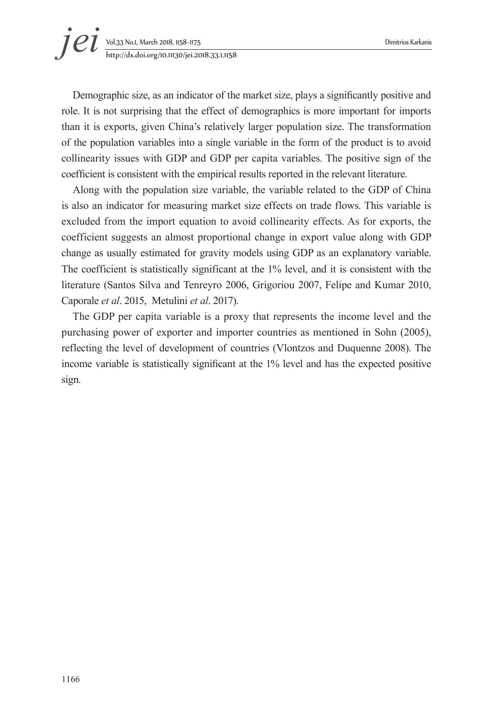Demographic size, as an indicator of the market size, plays a significantly positive and role. It is not surprising that the effect of demographics is more important for imports than it is exports, given China's relatively larger population size. The transformation of the population variables into a single variable in the form of the product is to avoid collinearity issues with GDP and GDP per capita variables. The positive sign of the coefficient is consistent with the empirical results reported in the relevant literature.

Along with the population size variable, the variable related to the GDP of China is also an indicator for measuring market size effects on trade flows. This variable is excluded from the import equation to avoid collinearity effects. As for exports, the coefficient suggests an almost proportional change in export value along with GDP change as usually estimated for gravity models using GDP as an explanatory variable. The coefficient is statistically significant at the 1% level, and it is consistent with the literature (Santos Silva and Tenreyro 2006, Grigoriou 2007, Felipe and Kumar 2010, Caporale *et al*. 2015, Metulini *et al*. 2017).

The GDP per capita variable is a proxy that represents the income level and the purchasing power of exporter and importer countries as mentioned in Sohn (2005), reflecting the level of development of countries (Vlontzos and Duquenne 2008). The income variable is statistically significant at the 1% level and has the expected positive sign.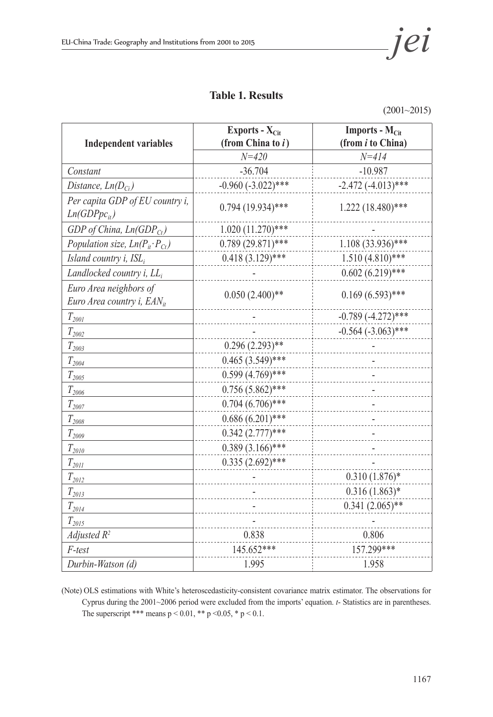### **Table 1. Results**

(2001~2015)

|                                                           | Exports - X <sub>Cit</sub> | <b>Imports - <math>M_{\text{Cit}}</math></b> |  |
|-----------------------------------------------------------|----------------------------|----------------------------------------------|--|
| <b>Independent variables</b>                              | (from China to $i$ )       | (from <i>i</i> to China)                     |  |
|                                                           | $N = 420$                  | $N = 414$                                    |  |
| Constant                                                  | $-36.704$                  | $-10.987$                                    |  |
| Distance, $Ln(D_{Ci})$                                    | $-0.960(-3.022)$ ***       | $-2.472(-4.013)$ ***                         |  |
| Per capita GDP of EU country i,<br>$Ln(GDPpc_{it})$       | $0.794(19.934)$ ***        | $1.222(18.480)$ ***                          |  |
| GDP of China, $Ln(GDP_{Ct})$                              | $1.020(11.270)$ ***        |                                              |  |
| Population size, $Ln(P_{it} \cdot P_{Ct})$                | $0.789(29.871)$ ***        | $1.108(33.936)$ ***                          |  |
| Island country i, ISL,                                    | $0.418(3.129)$ ***         | $1.510(4.810)$ ***                           |  |
| Landlocked country $i$ , $LL_i$                           |                            | $0.602(6.219)$ ***                           |  |
| Euro Area neighbors of<br>Euro Area country i, $EAN_{it}$ | $0.050(2.400)$ **          | $0.169(6.593)$ ***                           |  |
| $T_{2001}$                                                |                            | $-0.789(-4.272)$ ***                         |  |
| $T_{2002}$                                                |                            | $-0.564$ $(-3.063)$ ***                      |  |
| $T_{2003}$                                                | $0.296(2.293)$ **          |                                              |  |
| $T_{2004}$                                                | $0.465(3.549)$ ***         |                                              |  |
| $T_{2005}$                                                | $0.599(4.769)$ ***         |                                              |  |
| $T_{2006}$                                                | $0.756(5.862)$ ***         |                                              |  |
| $T_{2007}$                                                | $0.704(6.706)$ ***         |                                              |  |
| $T_{2008}$                                                | $0.686(6.201)$ ***         |                                              |  |
| $T_{2009}$                                                | $0.342(2.777)$ ***         |                                              |  |
| $T_{2010}$                                                | $0.389(3.166)$ ***         |                                              |  |
| $T_{20II}$                                                | $0.335(2.692)$ ***         |                                              |  |
| $T_{2012}$                                                |                            | $0.310(1.876)*$                              |  |
| $T_{2013}$                                                |                            | $0.316(1.863)*$                              |  |
| $T_{2014}$                                                |                            | $0.341(2.065)$ **                            |  |
| $T_{\rm 2015}$                                            |                            |                                              |  |
| Adjusted $R^2$                                            | 0.838                      | 0.806                                        |  |
| F-test                                                    | 145.652***                 | 157.299***                                   |  |
| Durbin-Watson (d)                                         | 1.995                      | 1.958                                        |  |

(Note) OLS estimations with White's heteroscedasticity-consistent covariance matrix estimator. The observations for Cyprus during the 2001~2006 period were excluded from the imports' equation. *t*- Statistics are in parentheses. The superscript \*\*\* means  $p < 0.01$ , \*\*  $p < 0.05$ , \*  $p < 0.1$ .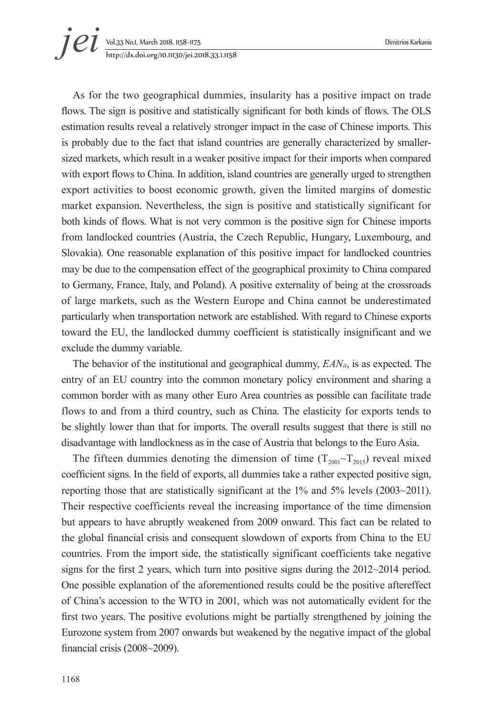# Vol.33 No.1, March 2018, 1158~1175 Dimitrios Karkanis http://dx.doi.org/10.11130/jei.2018.33.1.1158 *jei*

As for the two geographical dummies, insularity has a positive impact on trade flows. The sign is positive and statistically significant for both kinds of flows. The OLS estimation results reveal a relatively stronger impact in the case of Chinese imports. This is probably due to the fact that island countries are generally characterized by smallersized markets, which result in a weaker positive impact for their imports when compared with export flows to China. In addition, island countries are generally urged to strengthen export activities to boost economic growth, given the limited margins of domestic market expansion. Nevertheless, the sign is positive and statistically significant for both kinds of flows. What is not very common is the positive sign for Chinese imports from landlocked countries (Austria, the Czech Republic, Hungary, Luxembourg, and Slovakia). One reasonable explanation of this positive impact for landlocked countries may be due to the compensation effect of the geographical proximity to China compared to Germany, France, Italy, and Poland). A positive externality of being at the crossroads of large markets, such as the Western Europe and China cannot be underestimated particularly when transportation network are established. With regard to Chinese exports toward the EU, the landlocked dummy coefficient is statistically insignificant and we exclude the dummy variable.

The behavior of the institutional and geographical dummy, *EANit*, is as expected. The entry of an EU country into the common monetary policy environment and sharing a common border with as many other Euro Area countries as possible can facilitate trade flows to and from a third country, such as China. The elasticity for exports tends to be slightly lower than that for imports. The overall results suggest that there is still no disadvantage with landlockness as in the case of Austria that belongs to the Euro Asia.

The fifteen dummies denoting the dimension of time  $(T_{2001} \sim T_{2015})$  reveal mixed coefficient signs. In the field of exports, all dummies take a rather expected positive sign, reporting those that are statistically significant at the 1% and 5% levels (2003~2011). Their respective coefficients reveal the increasing importance of the time dimension but appears to have abruptly weakened from 2009 onward. This fact can be related to the global financial crisis and consequent slowdown of exports from China to the EU countries. From the import side, the statistically significant coefficients take negative signs for the first 2 years, which turn into positive signs during the 2012~2014 period. One possible explanation of the aforementioned results could be the positive aftereffect of China's accession to the WTO in 2001, which was not automatically evident for the first two years. The positive evolutions might be partially strengthened by joining the Eurozone system from 2007 onwards but weakened by the negative impact of the global financial crisis (2008~2009).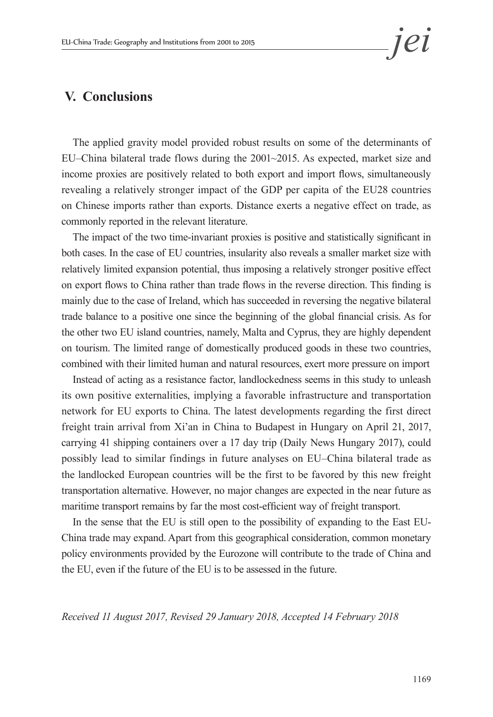# **V. Conclusions**

The applied gravity model provided robust results on some of the determinants of EU–China bilateral trade flows during the 2001~2015. As expected, market size and income proxies are positively related to both export and import flows, simultaneously revealing a relatively stronger impact of the GDP per capita of the EU28 countries on Chinese imports rather than exports. Distance exerts a negative effect on trade, as commonly reported in the relevant literature.

The impact of the two time-invariant proxies is positive and statistically significant in both cases. In the case of EU countries, insularity also reveals a smaller market size with relatively limited expansion potential, thus imposing a relatively stronger positive effect on export flows to China rather than trade flows in the reverse direction. This finding is mainly due to the case of Ireland, which has succeeded in reversing the negative bilateral trade balance to a positive one since the beginning of the global financial crisis. As for the other two EU island countries, namely, Malta and Cyprus, they are highly dependent on tourism. The limited range of domestically produced goods in these two countries, combined with their limited human and natural resources, exert more pressure on import

Instead of acting as a resistance factor, landlockedness seems in this study to unleash its own positive externalities, implying a favorable infrastructure and transportation network for EU exports to China. The latest developments regarding the first direct freight train arrival from Xi'an in China to Budapest in Hungary on April 21, 2017, carrying 41 shipping containers over a 17 day trip (Daily News Hungary 2017), could possibly lead to similar findings in future analyses on EU–China bilateral trade as the landlocked European countries will be the first to be favored by this new freight transportation alternative. However, no major changes are expected in the near future as maritime transport remains by far the most cost-efficient way of freight transport.

In the sense that the EU is still open to the possibility of expanding to the East EU-China trade may expand. Apart from this geographical consideration, common monetary policy environments provided by the Eurozone will contribute to the trade of China and the EU, even if the future of the EU is to be assessed in the future.

*Received 11 August 2017, Revised 29 January 2018, Accepted 14 February 2018*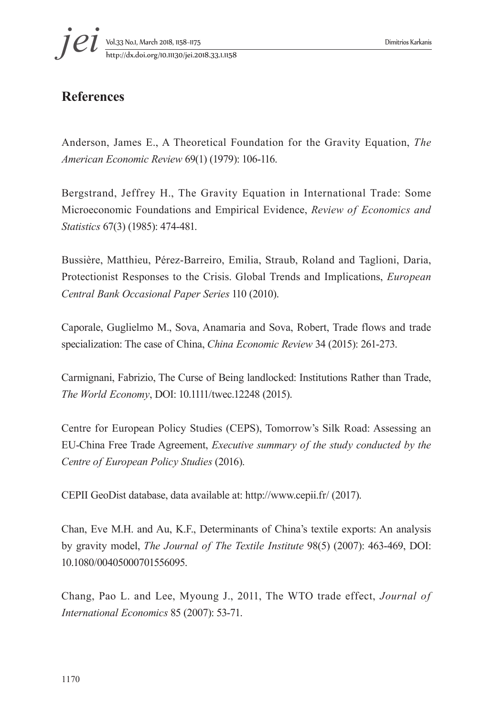

# **References**

Anderson, James E., A Theoretical Foundation for the Gravity Equation, *The American Economic Review* 69(1) (1979): 106-116.

Bergstrand, Jeffrey H., The Gravity Equation in International Trade: Some Microeconomic Foundations and Empirical Evidence, *Review of Economics and Statistics* 67(3) (1985): 474-481.

Bussière, Matthieu, Pérez-Barreiro, Emilia, Straub, Roland and Taglioni, Daria, Protectionist Responses to the Crisis. Global Trends and Implications, *European Central Bank Occasional Paper Series* 110 (2010).

Caporale, Guglielmo M., Sova, Anamaria and Sova, Robert, Trade flows and trade specialization: The case of China, *China Economic Review* 34 (2015): 261-273.

Carmignani, Fabrizio, The Curse of Being landlocked: Institutions Rather than Trade, *The World Economy*, DOI: 10.1111/twec.12248 (2015).

Centre for European Policy Studies (CEPS), Tomorrow's Silk Road: Assessing an EU-China Free Trade Agreement, *Executive summary of the study conducted by the Centre of European Policy Studies* (2016).

CEPII GeoDist database, data available at: http://www.cepii.fr/ (2017).

Chan, Eve M.H. and Au, K.F., Determinants of China's textile exports: An analysis by gravity model, *The Journal of The Textile Institute* 98(5) (2007): 463-469, DOI: 10.1080/00405000701556095.

Chang, Pao L. and Lee, Myoung J., 2011, The WTO trade effect, *Journal of International Economics* 85 (2007): 53-71.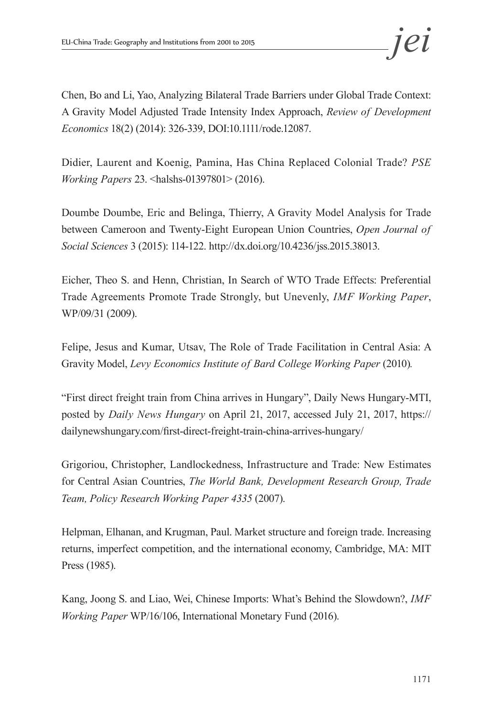Chen, Bo and Li, Yao, Analyzing Bilateral Trade Barriers under Global Trade Context: A Gravity Model Adjusted Trade Intensity Index Approach, *Review of Development Economics* 18(2) (2014): 326-339, DOI:10.1111/rode.12087.

Didier, Laurent and Koenig, Pamina, Has China Replaced Colonial Trade? *PSE Working Papers* 23. <halshs-01397801> (2016).

Doumbe Doumbe, Eric and Belinga, Thierry, A Gravity Model Analysis for Trade between Cameroon and Twenty-Eight European Union Countries, *Open Journal of Social Sciences* 3 (2015): 114-122. http://dx.doi.org/10.4236/jss.2015.38013.

Eicher, Theo S. and Henn, Christian, In Search of WTO Trade Effects: Preferential Trade Agreements Promote Trade Strongly, but Unevenly, *IMF Working Paper*, WP/09/31 (2009).

Felipe, Jesus and Kumar, Utsav, The Role of Trade Facilitation in Central Asia: A Gravity Model, *Levy Economics Institute of Bard College Working Paper* (2010).

"First direct freight train from China arrives in Hungary", Daily News Hungary-MTI, posted by *Daily News Hungary* on April 21, 2017, accessed July 21, 2017, https:// dailynewshungary.com/first-direct-freight-train-china-arrives-hungary/

Grigoriou, Christopher, Landlockedness, Infrastructure and Trade: New Estimates for Central Asian Countries, *The World Bank, Development Research Group, Trade Team, Policy Research Working Paper 4335* (2007).

Helpman, Elhanan, and Krugman, Paul. Market structure and foreign trade. Increasing returns, imperfect competition, and the international economy, Cambridge, MA: MIT Press (1985).

Kang, Joong S. and Liao, Wei, Chinese Imports: What's Behind the Slowdown?, *IMF Working Paper* WP/16/106, International Monetary Fund (2016).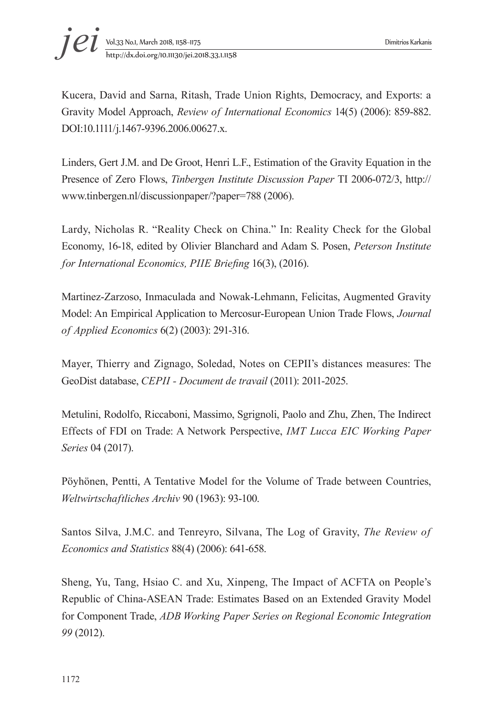Kucera, David and Sarna, Ritash, Trade Union Rights, Democracy, and Exports: a Gravity Model Approach, *Review of International Economics* 14(5) (2006): 859-882. DOI:10.1111/j.1467-9396.2006.00627.x.

Linders, Gert J.M. and De Groot, Henri L.F., Estimation of the Gravity Equation in the Presence of Zero Flows, *Tinbergen Institute Discussion Paper* TI 2006-072/3, http:// www.tinbergen.nl/discussionpaper/?paper=788 (2006).

Lardy, Nicholas R. "Reality Check on China." In: Reality Check for the Global Economy, 16-18, edited by Olivier Blanchard and Adam S. Posen, *Peterson Institute for International Economics, PIIE Briefing* 16(3), (2016).

Martinez-Zarzoso, Inmaculada and Nowak-Lehmann, Felicitas, Augmented Gravity Model: An Empirical Application to Mercosur-European Union Trade Flows, *Journal of Applied Economics* 6(2) (2003): 291-316.

Mayer, Thierry and Zignago, Soledad, Notes on CEPII's distances measures: The GeoDist database, *CEPII - Document de travail* (2011): 2011-2025.

Metulini, Rodolfo, Riccaboni, Massimo, Sgrignoli, Paolo and Zhu, Zhen, The Indirect Effects of FDI on Trade: A Network Perspective, *IMT Lucca EIC Working Paper Series* 04 (2017).

Pöyhönen, Pentti, A Tentative Model for the Volume of Trade between Countries, *Weltwirtschaftliches Archiv* 90 (1963): 93-100.

Santos Silva, J.M.C. and Tenreyro, Silvana, The Log of Gravity, *The Review of Economics and Statistics* 88(4) (2006): 641-658.

Sheng, Yu, Tang, Hsiao C. and Xu, Xinpeng, The Impact of ACFTA on People's Republic of China-ASEAN Trade: Estimates Based on an Extended Gravity Model for Component Trade, *ADB Working Paper Series on Regional Economic Integration 99* (2012).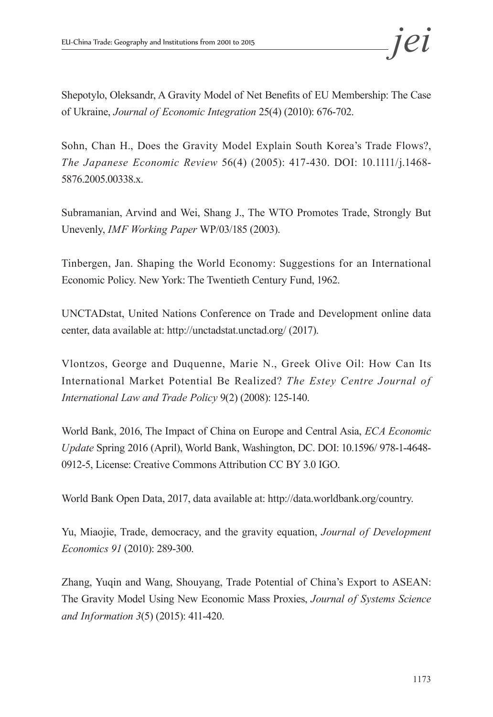Shepotylo, Oleksandr, A Gravity Model of Net Benefits of EU Membership: The Case of Ukraine, *Journal of Economic Integration* 25(4) (2010): 676-702.

Sohn, Chan H., Does the Gravity Model Explain South Korea's Trade Flows?, *The Japanese Economic Review* 56(4) (2005): 417-430. DOI: 10.1111/j.1468- 5876.2005.00338.x.

Subramanian, Arvind and Wei, Shang J., The WTO Promotes Trade, Strongly But Unevenly, *IMF Working Paper* WP/03/185 (2003).

Tinbergen, Jan. Shaping the World Economy: Suggestions for an International Economic Policy. New York: The Twentieth Century Fund, 1962.

UNCTADstat, United Nations Conference on Trade and Development online data center, data available at: http://unctadstat.unctad.org/ (2017).

Vlontzos, George and Duquenne, Marie N., Greek Olive Oil: How Can Its International Market Potential Be Realized? *The Estey Centre Journal of International Law and Trade Policy* 9(2) (2008): 125-140.

World Bank, 2016, The Impact of China on Europe and Central Asia, *ECA Economic Update* Spring 2016 (April), World Bank, Washington, DC. DOI: 10.1596/ 978-1-4648- 0912-5, License: Creative Commons Attribution CC BY 3.0 IGO.

World Bank Open Data, 2017, data available at: http://data.worldbank.org/country.

Yu, Miaojie, Trade, democracy, and the gravity equation, *Journal of Development Economics 91* (2010): 289-300.

Zhang, Yuqin and Wang, Shouyang, Trade Potential of China's Export to ASEAN: The Gravity Model Using New Economic Mass Proxies, *Journal of Systems Science and Information 3*(5) (2015): 411-420.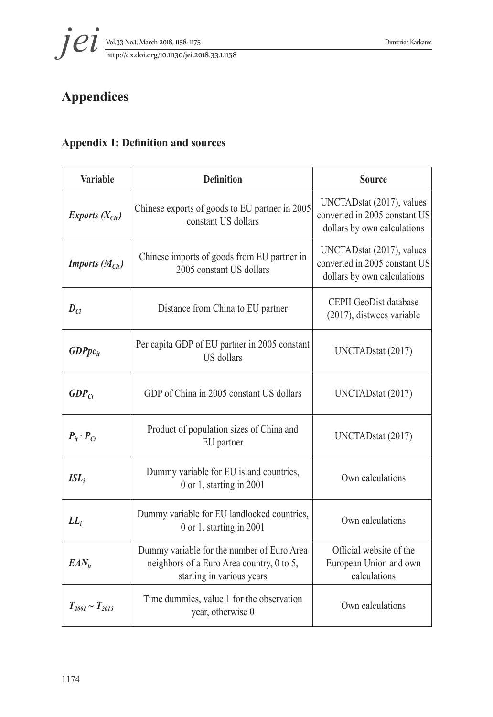

# **Appendices**

# **Appendix 1: Definition and sources**

| <b>Variable</b>            | <b>Definition</b>                                                                                                    | <b>Source</b>                                                                             |  |
|----------------------------|----------------------------------------------------------------------------------------------------------------------|-------------------------------------------------------------------------------------------|--|
| Exports $(X_{\text{Cit}})$ | Chinese exports of goods to EU partner in 2005<br>constant US dollars                                                | UNCTADstat (2017), values<br>converted in 2005 constant US<br>dollars by own calculations |  |
| <b>Imports</b> $(MCit)$    | Chinese imports of goods from EU partner in<br>2005 constant US dollars                                              | UNCTADstat (2017), values<br>converted in 2005 constant US<br>dollars by own calculations |  |
| $D_{Ci}$                   | Distance from China to EU partner                                                                                    | CEPII GeoDist database<br>(2017), distwees variable                                       |  |
| $GDPpc_{it}$               | Per capita GDP of EU partner in 2005 constant<br><b>US</b> dollars                                                   | UNCTADstat (2017)                                                                         |  |
| $GDP_{Ct}$                 | GDP of China in 2005 constant US dollars                                                                             | UNCTADstat (2017)                                                                         |  |
| $P_{it} \cdot P_{Ct}$      | Product of population sizes of China and<br>EU partner                                                               | UNCTADstat (2017)                                                                         |  |
| $ISL_i$                    | Dummy variable for EU island countries,<br>$0$ or 1, starting in 2001                                                | Own calculations                                                                          |  |
| $LL_i$                     | Dummy variable for EU landlocked countries,<br>0 or 1, starting in 2001                                              | Own calculations                                                                          |  |
| $EAN_{it}$                 | Dummy variable for the number of Euro Area<br>neighbors of a Euro Area country, 0 to 5,<br>starting in various years | Official website of the<br>European Union and own<br>calculations                         |  |
| $T_{2001} \sim T_{2015}$   | Time dummies, value 1 for the observation<br>year, otherwise 0                                                       | Own calculations                                                                          |  |